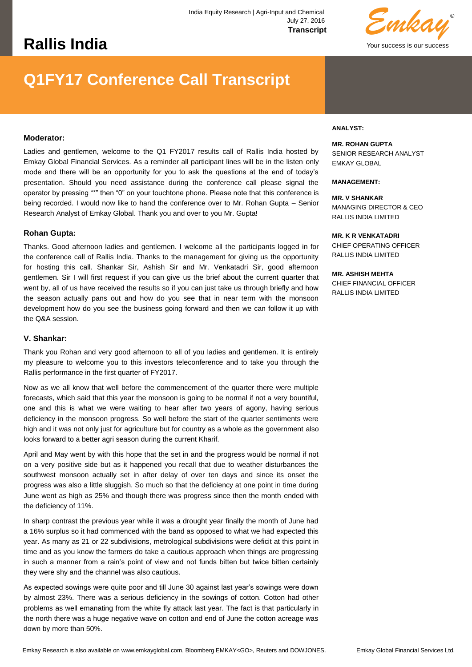# **Rallis India**



# **Q1FY17 Conference Call Transcript**

## **Moderator:**

Ladies and gentlemen, welcome to the Q1 FY2017 results call of Rallis India hosted by Emkay Global Financial Services. As a reminder all participant lines will be in the listen only mode and there will be an opportunity for you to ask the questions at the end of today's presentation. Should you need assistance during the conference call please signal the operator by pressing "\*" then "0" on your touchtone phone. Please note that this conference is being recorded. I would now like to hand the conference over to Mr. Rohan Gupta – Senior Research Analyst of Emkay Global. Thank you and over to you Mr. Gupta!

#### **Rohan Gupta:**

Thanks. Good afternoon ladies and gentlemen. I welcome all the participants logged in for the conference call of Rallis India. Thanks to the management for giving us the opportunity for hosting this call. Shankar Sir, Ashish Sir and Mr. Venkatadri Sir, good afternoon gentlemen. Sir I will first request if you can give us the brief about the current quarter that went by, all of us have received the results so if you can just take us through briefly and how the season actually pans out and how do you see that in near term with the monsoon development how do you see the business going forward and then we can follow it up with the Q&A session.

#### **V. Shankar:**

Thank you Rohan and very good afternoon to all of you ladies and gentlemen. It is entirely my pleasure to welcome you to this investors teleconference and to take you through the Rallis performance in the first quarter of FY2017.

Now as we all know that well before the commencement of the quarter there were multiple forecasts, which said that this year the monsoon is going to be normal if not a very bountiful, one and this is what we were waiting to hear after two years of agony, having serious deficiency in the monsoon progress. So well before the start of the quarter sentiments were high and it was not only just for agriculture but for country as a whole as the government also looks forward to a better agri season during the current Kharif.

April and May went by with this hope that the set in and the progress would be normal if not on a very positive side but as it happened you recall that due to weather disturbances the southwest monsoon actually set in after delay of over ten days and since its onset the progress was also a little sluggish. So much so that the deficiency at one point in time during June went as high as 25% and though there was progress since then the month ended with the deficiency of 11%.

In sharp contrast the previous year while it was a drought year finally the month of June had a 16% surplus so it had commenced with the band as opposed to what we had expected this year. As many as 21 or 22 subdivisions, metrological subdivisions were deficit at this point in time and as you know the farmers do take a cautious approach when things are progressing in such a manner from a rain's point of view and not funds bitten but twice bitten certainly they were shy and the channel was also cautious.

As expected sowings were quite poor and till June 30 against last year's sowings were down by almost 23%. There was a serious deficiency in the sowings of cotton. Cotton had other problems as well emanating from the white fly attack last year. The fact is that particularly in the north there was a huge negative wave on cotton and end of June the cotton acreage was down by more than 50%.

#### **ANALYST:**

#### **MR. ROHAN GUPTA**

SENIOR RESEARCH ANALYST EMKAY GLOBAL

#### **MANAGEMENT:**

**MR. V SHANKAR**  MANAGING DIRECTOR & CEO RALLIS INDIA LIMITED

#### **MR. K R VENKATADRI**

CHIEF OPERATING OFFICER RALLIS INDIA LIMITED

#### **MR. ASHISH MEHTA**

CHIEF FINANCIAL OFFICER RALLIS INDIA LIMITED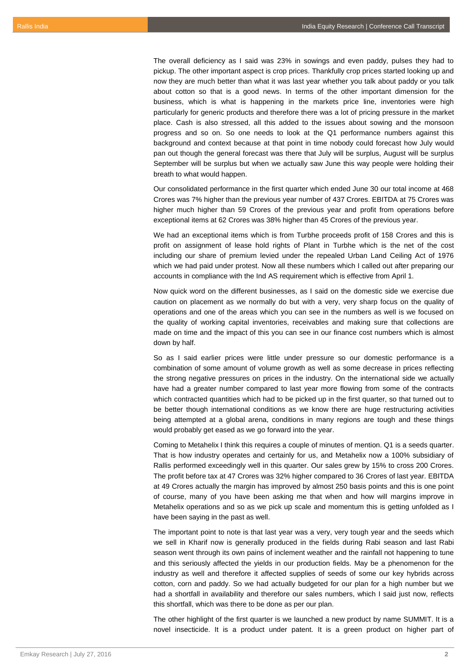The overall deficiency as I said was 23% in sowings and even paddy, pulses they had to pickup. The other important aspect is crop prices. Thankfully crop prices started looking up and now they are much better than what it was last year whether you talk about paddy or you talk about cotton so that is a good news. In terms of the other important dimension for the business, which is what is happening in the markets price line, inventories were high particularly for generic products and therefore there was a lot of pricing pressure in the market place. Cash is also stressed, all this added to the issues about sowing and the monsoon progress and so on. So one needs to look at the Q1 performance numbers against this background and context because at that point in time nobody could forecast how July would pan out though the general forecast was there that July will be surplus, August will be surplus September will be surplus but when we actually saw June this way people were holding their breath to what would happen.

Our consolidated performance in the first quarter which ended June 30 our total income at 468 Crores was 7% higher than the previous year number of 437 Crores. EBITDA at 75 Crores was higher much higher than 59 Crores of the previous year and profit from operations before exceptional items at 62 Crores was 38% higher than 45 Crores of the previous year.

We had an exceptional items which is from Turbhe proceeds profit of 158 Crores and this is profit on assignment of lease hold rights of Plant in Turbhe which is the net of the cost including our share of premium levied under the repealed Urban Land Ceiling Act of 1976 which we had paid under protest. Now all these numbers which I called out after preparing our accounts in compliance with the Ind AS requirement which is effective from April 1.

Now quick word on the different businesses, as I said on the domestic side we exercise due caution on placement as we normally do but with a very, very sharp focus on the quality of operations and one of the areas which you can see in the numbers as well is we focused on the quality of working capital inventories, receivables and making sure that collections are made on time and the impact of this you can see in our finance cost numbers which is almost down by half.

So as I said earlier prices were little under pressure so our domestic performance is a combination of some amount of volume growth as well as some decrease in prices reflecting the strong negative pressures on prices in the industry. On the international side we actually have had a greater number compared to last year more flowing from some of the contracts which contracted quantities which had to be picked up in the first quarter, so that turned out to be better though international conditions as we know there are huge restructuring activities being attempted at a global arena, conditions in many regions are tough and these things would probably get eased as we go forward into the year.

Coming to Metahelix I think this requires a couple of minutes of mention. Q1 is a seeds quarter. That is how industry operates and certainly for us, and Metahelix now a 100% subsidiary of Rallis performed exceedingly well in this quarter. Our sales grew by 15% to cross 200 Crores. The profit before tax at 47 Crores was 32% higher compared to 36 Crores of last year. EBITDA at 49 Crores actually the margin has improved by almost 250 basis points and this is one point of course, many of you have been asking me that when and how will margins improve in Metahelix operations and so as we pick up scale and momentum this is getting unfolded as I have been saying in the past as well.

The important point to note is that last year was a very, very tough year and the seeds which we sell in Kharif now is generally produced in the fields during Rabi season and last Rabi season went through its own pains of inclement weather and the rainfall not happening to tune and this seriously affected the yields in our production fields. May be a phenomenon for the industry as well and therefore it affected supplies of seeds of some our key hybrids across cotton, corn and paddy. So we had actually budgeted for our plan for a high number but we had a shortfall in availability and therefore our sales numbers, which I said just now, reflects this shortfall, which was there to be done as per our plan.

The other highlight of the first quarter is we launched a new product by name SUMMIT. It is a novel insecticide. It is a product under patent. It is a green product on higher part of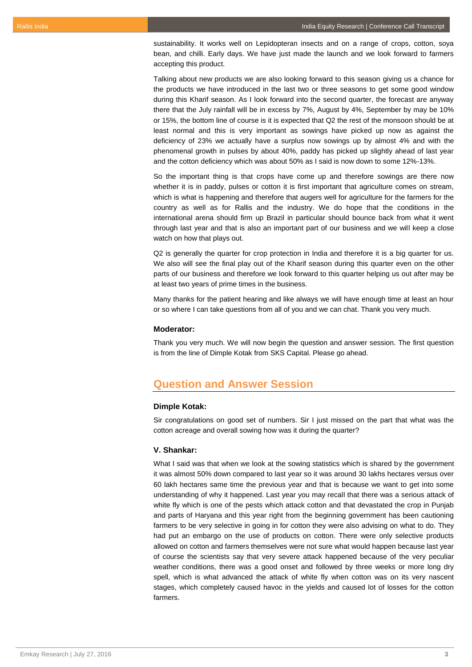sustainability. It works well on Lepidopteran insects and on a range of crops, cotton, soya bean, and chilli. Early days. We have just made the launch and we look forward to farmers accepting this product.

Talking about new products we are also looking forward to this season giving us a chance for the products we have introduced in the last two or three seasons to get some good window during this Kharif season. As I look forward into the second quarter, the forecast are anyway there that the July rainfall will be in excess by 7%, August by 4%, September by may be 10% or 15%, the bottom line of course is it is expected that Q2 the rest of the monsoon should be at least normal and this is very important as sowings have picked up now as against the deficiency of 23% we actually have a surplus now sowings up by almost 4% and with the phenomenal growth in pulses by about 40%, paddy has picked up slightly ahead of last year and the cotton deficiency which was about 50% as I said is now down to some 12%-13%.

So the important thing is that crops have come up and therefore sowings are there now whether it is in paddy, pulses or cotton it is first important that agriculture comes on stream, which is what is happening and therefore that augers well for agriculture for the farmers for the country as well as for Rallis and the industry. We do hope that the conditions in the international arena should firm up Brazil in particular should bounce back from what it went through last year and that is also an important part of our business and we will keep a close watch on how that plays out.

Q2 is generally the quarter for crop protection in India and therefore it is a big quarter for us. We also will see the final play out of the Kharif season during this quarter even on the other parts of our business and therefore we look forward to this quarter helping us out after may be at least two years of prime times in the business.

Many thanks for the patient hearing and like always we will have enough time at least an hour or so where I can take questions from all of you and we can chat. Thank you very much.

## **Moderator:**

Thank you very much. We will now begin the question and answer session. The first question is from the line of Dimple Kotak from SKS Capital. Please go ahead.

# **Question and Answer Session**

## **Dimple Kotak:**

Sir congratulations on good set of numbers. Sir I just missed on the part that what was the cotton acreage and overall sowing how was it during the quarter?

## **V. Shankar:**

What I said was that when we look at the sowing statistics which is shared by the government it was almost 50% down compared to last year so it was around 30 lakhs hectares versus over 60 lakh hectares same time the previous year and that is because we want to get into some understanding of why it happened. Last year you may recall that there was a serious attack of white fly which is one of the pests which attack cotton and that devastated the crop in Punjab and parts of Haryana and this year right from the beginning government has been cautioning farmers to be very selective in going in for cotton they were also advising on what to do. They had put an embargo on the use of products on cotton. There were only selective products allowed on cotton and farmers themselves were not sure what would happen because last year of course the scientists say that very severe attack happened because of the very peculiar weather conditions, there was a good onset and followed by three weeks or more long dry spell, which is what advanced the attack of white fly when cotton was on its very nascent stages, which completely caused havoc in the yields and caused lot of losses for the cotton farmers.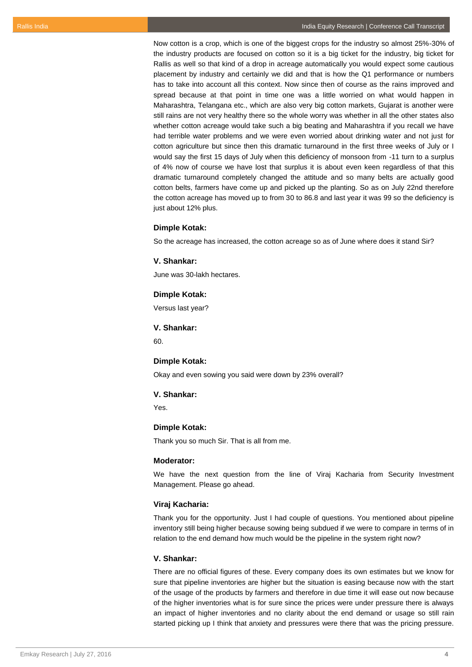Now cotton is a crop, which is one of the biggest crops for the industry so almost 25%-30% of the industry products are focused on cotton so it is a big ticket for the industry, big ticket for Rallis as well so that kind of a drop in acreage automatically you would expect some cautious placement by industry and certainly we did and that is how the Q1 performance or numbers has to take into account all this context. Now since then of course as the rains improved and spread because at that point in time one was a little worried on what would happen in Maharashtra, Telangana etc., which are also very big cotton markets, Gujarat is another were still rains are not very healthy there so the whole worry was whether in all the other states also whether cotton acreage would take such a big beating and Maharashtra if you recall we have had terrible water problems and we were even worried about drinking water and not just for cotton agriculture but since then this dramatic turnaround in the first three weeks of July or I would say the first 15 days of July when this deficiency of monsoon from -11 turn to a surplus of 4% now of course we have lost that surplus it is about even keen regardless of that this dramatic turnaround completely changed the attitude and so many belts are actually good cotton belts, farmers have come up and picked up the planting. So as on July 22nd therefore the cotton acreage has moved up to from 30 to 86.8 and last year it was 99 so the deficiency is just about 12% plus.

## **Dimple Kotak:**

So the acreage has increased, the cotton acreage so as of June where does it stand Sir?

#### **V. Shankar:**

June was 30-lakh hectares.

#### **Dimple Kotak:**

Versus last year?

## **V. Shankar:**

 $60$ 

#### **Dimple Kotak:**

Okay and even sowing you said were down by 23% overall?

## **V. Shankar:**

Yes.

## **Dimple Kotak:**

Thank you so much Sir. That is all from me.

#### **Moderator:**

We have the next question from the line of Viraj Kacharia from Security Investment Management. Please go ahead.

#### **Viraj Kacharia:**

Thank you for the opportunity. Just I had couple of questions. You mentioned about pipeline inventory still being higher because sowing being subdued if we were to compare in terms of in relation to the end demand how much would be the pipeline in the system right now?

#### **V. Shankar:**

There are no official figures of these. Every company does its own estimates but we know for sure that pipeline inventories are higher but the situation is easing because now with the start of the usage of the products by farmers and therefore in due time it will ease out now because of the higher inventories what is for sure since the prices were under pressure there is always an impact of higher inventories and no clarity about the end demand or usage so still rain started picking up I think that anxiety and pressures were there that was the pricing pressure.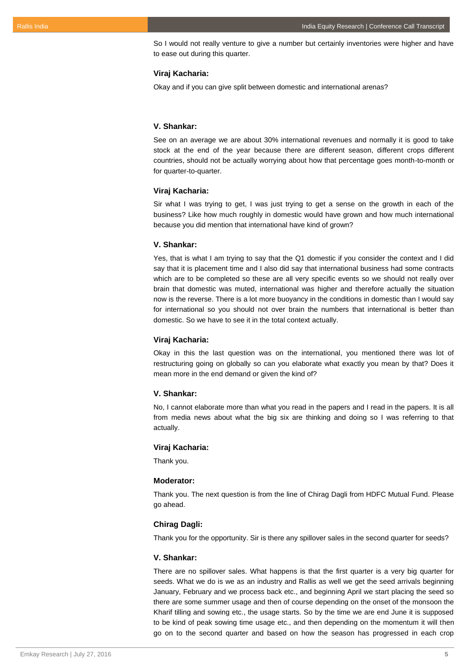So I would not really venture to give a number but certainly inventories were higher and have to ease out during this quarter.

## **Viraj Kacharia:**

Okay and if you can give split between domestic and international arenas?

## **V. Shankar:**

See on an average we are about 30% international revenues and normally it is good to take stock at the end of the year because there are different season, different crops different countries, should not be actually worrying about how that percentage goes month-to-month or for quarter-to-quarter.

## **Viraj Kacharia:**

Sir what I was trying to get, I was just trying to get a sense on the growth in each of the business? Like how much roughly in domestic would have grown and how much international because you did mention that international have kind of grown?

#### **V. Shankar:**

Yes, that is what I am trying to say that the Q1 domestic if you consider the context and I did say that it is placement time and I also did say that international business had some contracts which are to be completed so these are all very specific events so we should not really over brain that domestic was muted, international was higher and therefore actually the situation now is the reverse. There is a lot more buoyancy in the conditions in domestic than I would say for international so you should not over brain the numbers that international is better than domestic. So we have to see it in the total context actually.

## **Viraj Kacharia:**

Okay in this the last question was on the international, you mentioned there was lot of restructuring going on globally so can you elaborate what exactly you mean by that? Does it mean more in the end demand or given the kind of?

## **V. Shankar:**

No, I cannot elaborate more than what you read in the papers and I read in the papers. It is all from media news about what the big six are thinking and doing so I was referring to that actually.

## **Viraj Kacharia:**

Thank you.

## **Moderator:**

Thank you. The next question is from the line of Chirag Dagli from HDFC Mutual Fund. Please go ahead.

#### **Chirag Dagli:**

Thank you for the opportunity. Sir is there any spillover sales in the second quarter for seeds?

#### **V. Shankar:**

There are no spillover sales. What happens is that the first quarter is a very big quarter for seeds. What we do is we as an industry and Rallis as well we get the seed arrivals beginning January, February and we process back etc., and beginning April we start placing the seed so there are some summer usage and then of course depending on the onset of the monsoon the Kharif tilling and sowing etc., the usage starts. So by the time we are end June it is supposed to be kind of peak sowing time usage etc., and then depending on the momentum it will then go on to the second quarter and based on how the season has progressed in each crop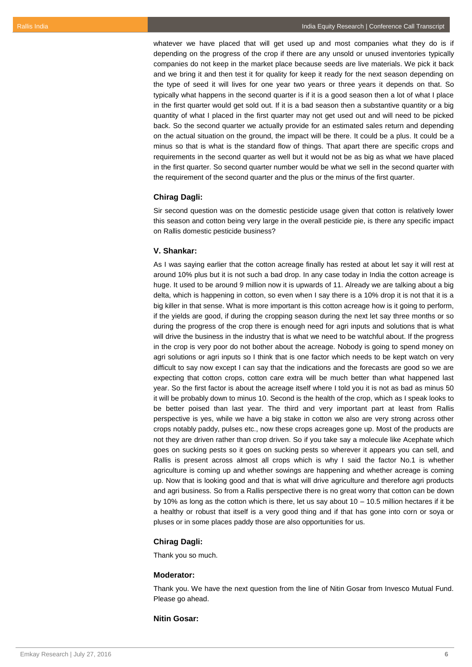whatever we have placed that will get used up and most companies what they do is if depending on the progress of the crop if there are any unsold or unused inventories typically companies do not keep in the market place because seeds are live materials. We pick it back and we bring it and then test it for quality for keep it ready for the next season depending on the type of seed it will lives for one year two years or three years it depends on that. So typically what happens in the second quarter is if it is a good season then a lot of what I place in the first quarter would get sold out. If it is a bad season then a substantive quantity or a big quantity of what I placed in the first quarter may not get used out and will need to be picked back. So the second quarter we actually provide for an estimated sales return and depending on the actual situation on the ground, the impact will be there. It could be a plus. It could be a minus so that is what is the standard flow of things. That apart there are specific crops and requirements in the second quarter as well but it would not be as big as what we have placed in the first quarter. So second quarter number would be what we sell in the second quarter with the requirement of the second quarter and the plus or the minus of the first quarter.

## **Chirag Dagli:**

Sir second question was on the domestic pesticide usage given that cotton is relatively lower this season and cotton being very large in the overall pesticide pie, is there any specific impact on Rallis domestic pesticide business?

### **V. Shankar:**

As I was saying earlier that the cotton acreage finally has rested at about let say it will rest at around 10% plus but it is not such a bad drop. In any case today in India the cotton acreage is huge. It used to be around 9 million now it is upwards of 11. Already we are talking about a big delta, which is happening in cotton, so even when I say there is a 10% drop it is not that it is a big killer in that sense. What is more important is this cotton acreage how is it going to perform, if the yields are good, if during the cropping season during the next let say three months or so during the progress of the crop there is enough need for agri inputs and solutions that is what will drive the business in the industry that is what we need to be watchful about. If the progress in the crop is very poor do not bother about the acreage. Nobody is going to spend money on agri solutions or agri inputs so I think that is one factor which needs to be kept watch on very difficult to say now except I can say that the indications and the forecasts are good so we are expecting that cotton crops, cotton care extra will be much better than what happened last year. So the first factor is about the acreage itself where I told you it is not as bad as minus 50 it will be probably down to minus 10. Second is the health of the crop, which as I speak looks to be better poised than last year. The third and very important part at least from Rallis perspective is yes, while we have a big stake in cotton we also are very strong across other crops notably paddy, pulses etc., now these crops acreages gone up. Most of the products are not they are driven rather than crop driven. So if you take say a molecule like Acephate which goes on sucking pests so it goes on sucking pests so wherever it appears you can sell, and Rallis is present across almost all crops which is why I said the factor No.1 is whether agriculture is coming up and whether sowings are happening and whether acreage is coming up. Now that is looking good and that is what will drive agriculture and therefore agri products and agri business. So from a Rallis perspective there is no great worry that cotton can be down by 10% as long as the cotton which is there, let us say about  $10 - 10.5$  million hectares if it be a healthy or robust that itself is a very good thing and if that has gone into corn or soya or pluses or in some places paddy those are also opportunities for us.

#### **Chirag Dagli:**

Thank you so much.

#### **Moderator:**

Thank you. We have the next question from the line of Nitin Gosar from Invesco Mutual Fund. Please go ahead.

## **Nitin Gosar:**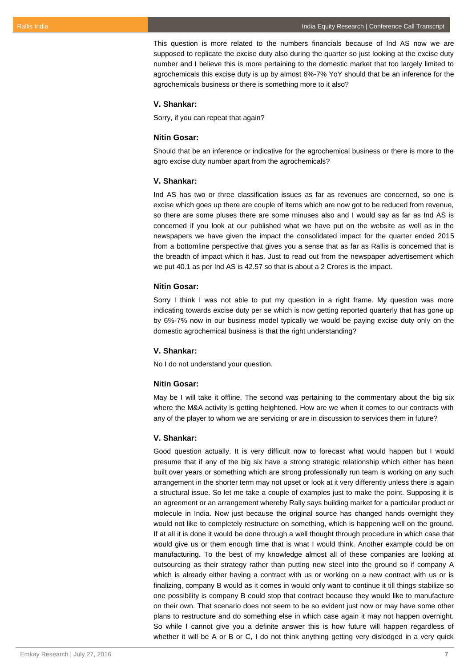This question is more related to the numbers financials because of Ind AS now we are supposed to replicate the excise duty also during the quarter so just looking at the excise duty number and I believe this is more pertaining to the domestic market that too largely limited to agrochemicals this excise duty is up by almost 6%-7% YoY should that be an inference for the agrochemicals business or there is something more to it also?

#### **V. Shankar:**

Sorry, if you can repeat that again?

#### **Nitin Gosar:**

Should that be an inference or indicative for the agrochemical business or there is more to the agro excise duty number apart from the agrochemicals?

## **V. Shankar:**

Ind AS has two or three classification issues as far as revenues are concerned, so one is excise which goes up there are couple of items which are now got to be reduced from revenue, so there are some pluses there are some minuses also and I would say as far as Ind AS is concerned if you look at our published what we have put on the website as well as in the newspapers we have given the impact the consolidated impact for the quarter ended 2015 from a bottomline perspective that gives you a sense that as far as Rallis is concerned that is the breadth of impact which it has. Just to read out from the newspaper advertisement which we put 40.1 as per Ind AS is 42.57 so that is about a 2 Crores is the impact.

#### **Nitin Gosar:**

Sorry I think I was not able to put my question in a right frame. My question was more indicating towards excise duty per se which is now getting reported quarterly that has gone up by 6%-7% now in our business model typically we would be paying excise duty only on the domestic agrochemical business is that the right understanding?

## **V. Shankar:**

No I do not understand your question.

#### **Nitin Gosar:**

May be I will take it offline. The second was pertaining to the commentary about the big six where the M&A activity is getting heightened. How are we when it comes to our contracts with any of the player to whom we are servicing or are in discussion to services them in future?

## **V. Shankar:**

Good question actually. It is very difficult now to forecast what would happen but I would presume that if any of the big six have a strong strategic relationship which either has been built over years or something which are strong professionally run team is working on any such arrangement in the shorter term may not upset or look at it very differently unless there is again a structural issue. So let me take a couple of examples just to make the point. Supposing it is an agreement or an arrangement whereby Rally says building market for a particular product or molecule in India. Now just because the original source has changed hands overnight they would not like to completely restructure on something, which is happening well on the ground. If at all it is done it would be done through a well thought through procedure in which case that would give us or them enough time that is what I would think. Another example could be on manufacturing. To the best of my knowledge almost all of these companies are looking at outsourcing as their strategy rather than putting new steel into the ground so if company A which is already either having a contract with us or working on a new contract with us or is finalizing, company B would as it comes in would only want to continue it till things stabilize so one possibility is company B could stop that contract because they would like to manufacture on their own. That scenario does not seem to be so evident just now or may have some other plans to restructure and do something else in which case again it may not happen overnight. So while I cannot give you a definite answer this is how future will happen regardless of whether it will be A or B or C, I do not think anything getting very dislodged in a very quick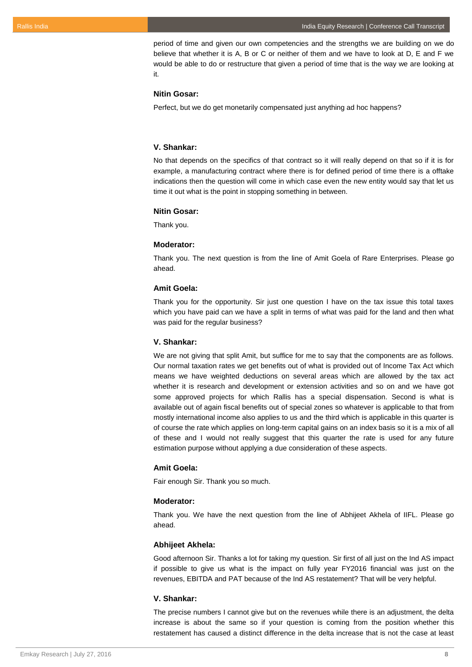period of time and given our own competencies and the strengths we are building on we do believe that whether it is A, B or C or neither of them and we have to look at D, E and F we would be able to do or restructure that given a period of time that is the way we are looking at it.

## **Nitin Gosar:**

Perfect, but we do get monetarily compensated just anything ad hoc happens?

#### **V. Shankar:**

No that depends on the specifics of that contract so it will really depend on that so if it is for example, a manufacturing contract where there is for defined period of time there is a offtake indications then the question will come in which case even the new entity would say that let us time it out what is the point in stopping something in between.

## **Nitin Gosar:**

Thank you.

#### **Moderator:**

Thank you. The next question is from the line of Amit Goela of Rare Enterprises. Please go ahead.

#### **Amit Goela:**

Thank you for the opportunity. Sir just one question I have on the tax issue this total taxes which you have paid can we have a split in terms of what was paid for the land and then what was paid for the regular business?

## **V. Shankar:**

We are not giving that split Amit, but suffice for me to say that the components are as follows. Our normal taxation rates we get benefits out of what is provided out of Income Tax Act which means we have weighted deductions on several areas which are allowed by the tax act whether it is research and development or extension activities and so on and we have got some approved projects for which Rallis has a special dispensation. Second is what is available out of again fiscal benefits out of special zones so whatever is applicable to that from mostly international income also applies to us and the third which is applicable in this quarter is of course the rate which applies on long-term capital gains on an index basis so it is a mix of all of these and I would not really suggest that this quarter the rate is used for any future estimation purpose without applying a due consideration of these aspects.

#### **Amit Goela:**

Fair enough Sir. Thank you so much.

#### **Moderator:**

Thank you. We have the next question from the line of Abhijeet Akhela of IIFL. Please go ahead.

## **Abhijeet Akhela:**

Good afternoon Sir. Thanks a lot for taking my question. Sir first of all just on the Ind AS impact if possible to give us what is the impact on fully year FY2016 financial was just on the revenues, EBITDA and PAT because of the Ind AS restatement? That will be very helpful.

#### **V. Shankar:**

The precise numbers I cannot give but on the revenues while there is an adjustment, the delta increase is about the same so if your question is coming from the position whether this restatement has caused a distinct difference in the delta increase that is not the case at least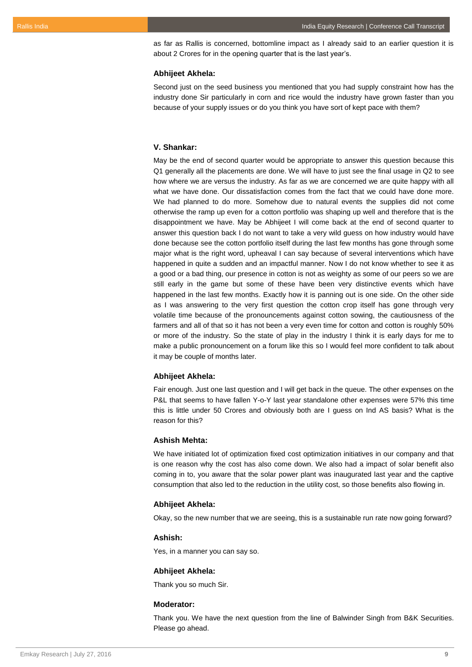as far as Rallis is concerned, bottomline impact as I already said to an earlier question it is about 2 Crores for in the opening quarter that is the last year's.

## **Abhijeet Akhela:**

Second just on the seed business you mentioned that you had supply constraint how has the industry done Sir particularly in corn and rice would the industry have grown faster than you because of your supply issues or do you think you have sort of kept pace with them?

## **V. Shankar:**

May be the end of second quarter would be appropriate to answer this question because this Q1 generally all the placements are done. We will have to just see the final usage in Q2 to see how where we are versus the industry. As far as we are concerned we are quite happy with all what we have done. Our dissatisfaction comes from the fact that we could have done more. We had planned to do more. Somehow due to natural events the supplies did not come otherwise the ramp up even for a cotton portfolio was shaping up well and therefore that is the disappointment we have. May be Abhijeet I will come back at the end of second quarter to answer this question back I do not want to take a very wild guess on how industry would have done because see the cotton portfolio itself during the last few months has gone through some major what is the right word, upheaval I can say because of several interventions which have happened in quite a sudden and an impactful manner. Now I do not know whether to see it as a good or a bad thing, our presence in cotton is not as weighty as some of our peers so we are still early in the game but some of these have been very distinctive events which have happened in the last few months. Exactly how it is panning out is one side. On the other side as I was answering to the very first question the cotton crop itself has gone through very volatile time because of the pronouncements against cotton sowing, the cautiousness of the farmers and all of that so it has not been a very even time for cotton and cotton is roughly 50% or more of the industry. So the state of play in the industry I think it is early days for me to make a public pronouncement on a forum like this so I would feel more confident to talk about it may be couple of months later.

#### **Abhijeet Akhela:**

Fair enough. Just one last question and I will get back in the queue. The other expenses on the P&L that seems to have fallen Y-o-Y last year standalone other expenses were 57% this time this is little under 50 Crores and obviously both are I guess on Ind AS basis? What is the reason for this?

#### **Ashish Mehta:**

We have initiated lot of optimization fixed cost optimization initiatives in our company and that is one reason why the cost has also come down. We also had a impact of solar benefit also coming in to, you aware that the solar power plant was inaugurated last year and the captive consumption that also led to the reduction in the utility cost, so those benefits also flowing in.

#### **Abhijeet Akhela:**

Okay, so the new number that we are seeing, this is a sustainable run rate now going forward?

#### **Ashish:**

Yes, in a manner you can say so.

#### **Abhijeet Akhela:**

Thank you so much Sir.

#### **Moderator:**

Thank you. We have the next question from the line of Balwinder Singh from B&K Securities. Please go ahead.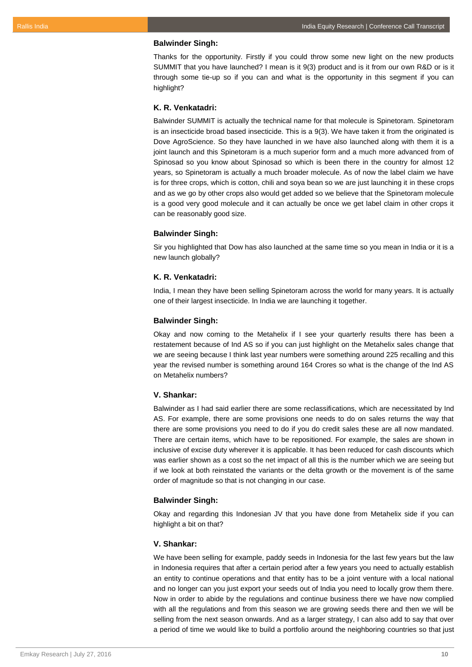### **Balwinder Singh:**

Thanks for the opportunity. Firstly if you could throw some new light on the new products SUMMIT that you have launched? I mean is it 9(3) product and is it from our own R&D or is it through some tie-up so if you can and what is the opportunity in this segment if you can highlight?

#### **K. R. Venkatadri:**

Balwinder SUMMIT is actually the technical name for that molecule is Spinetoram. Spinetoram is an insecticide broad based insecticide. This is a 9(3). We have taken it from the originated is Dove AgroScience. So they have launched in we have also launched along with them it is a joint launch and this Spinetoram is a much superior form and a much more advanced from of Spinosad so you know about Spinosad so which is been there in the country for almost 12 years, so Spinetoram is actually a much broader molecule. As of now the label claim we have is for three crops, which is cotton, chili and soya bean so we are just launching it in these crops and as we go by other crops also would get added so we believe that the Spinetoram molecule is a good very good molecule and it can actually be once we get label claim in other crops it can be reasonably good size.

#### **Balwinder Singh:**

Sir you highlighted that Dow has also launched at the same time so you mean in India or it is a new launch globally?

## **K. R. Venkatadri:**

India, I mean they have been selling Spinetoram across the world for many years. It is actually one of their largest insecticide. In India we are launching it together.

#### **Balwinder Singh:**

Okay and now coming to the Metahelix if I see your quarterly results there has been a restatement because of Ind AS so if you can just highlight on the Metahelix sales change that we are seeing because I think last year numbers were something around 225 recalling and this year the revised number is something around 164 Crores so what is the change of the Ind AS on Metahelix numbers?

## **V. Shankar:**

Balwinder as I had said earlier there are some reclassifications, which are necessitated by Ind AS. For example, there are some provisions one needs to do on sales returns the way that there are some provisions you need to do if you do credit sales these are all now mandated. There are certain items, which have to be repositioned. For example, the sales are shown in inclusive of excise duty wherever it is applicable. It has been reduced for cash discounts which was earlier shown as a cost so the net impact of all this is the number which we are seeing but if we look at both reinstated the variants or the delta growth or the movement is of the same order of magnitude so that is not changing in our case.

## **Balwinder Singh:**

Okay and regarding this Indonesian JV that you have done from Metahelix side if you can highlight a bit on that?

#### **V. Shankar:**

We have been selling for example, paddy seeds in Indonesia for the last few years but the law in Indonesia requires that after a certain period after a few years you need to actually establish an entity to continue operations and that entity has to be a joint venture with a local national and no longer can you just export your seeds out of India you need to locally grow them there. Now in order to abide by the regulations and continue business there we have now complied with all the regulations and from this season we are growing seeds there and then we will be selling from the next season onwards. And as a larger strategy, I can also add to say that over a period of time we would like to build a portfolio around the neighboring countries so that just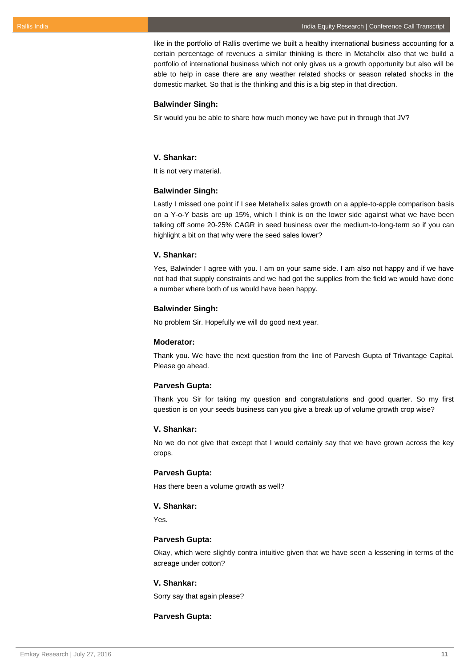like in the portfolio of Rallis overtime we built a healthy international business accounting for a certain percentage of revenues a similar thinking is there in Metahelix also that we build a portfolio of international business which not only gives us a growth opportunity but also will be able to help in case there are any weather related shocks or season related shocks in the domestic market. So that is the thinking and this is a big step in that direction.

#### **Balwinder Singh:**

Sir would you be able to share how much money we have put in through that JV?

## **V. Shankar:**

It is not very material.

#### **Balwinder Singh:**

Lastly I missed one point if I see Metahelix sales growth on a apple-to-apple comparison basis on a Y-o-Y basis are up 15%, which I think is on the lower side against what we have been talking off some 20-25% CAGR in seed business over the medium-to-long-term so if you can highlight a bit on that why were the seed sales lower?

## **V. Shankar:**

Yes, Balwinder I agree with you. I am on your same side. I am also not happy and if we have not had that supply constraints and we had got the supplies from the field we would have done a number where both of us would have been happy.

## **Balwinder Singh:**

No problem Sir. Hopefully we will do good next year.

## **Moderator:**

Thank you. We have the next question from the line of Parvesh Gupta of Trivantage Capital. Please go ahead.

#### **Parvesh Gupta:**

Thank you Sir for taking my question and congratulations and good quarter. So my first question is on your seeds business can you give a break up of volume growth crop wise?

## **V. Shankar:**

No we do not give that except that I would certainly say that we have grown across the key crops.

## **Parvesh Gupta:**

Has there been a volume growth as well?

## **V. Shankar:**

Yes.

#### **Parvesh Gupta:**

Okay, which were slightly contra intuitive given that we have seen a lessening in terms of the acreage under cotton?

## **V. Shankar:**

Sorry say that again please?

## **Parvesh Gupta:**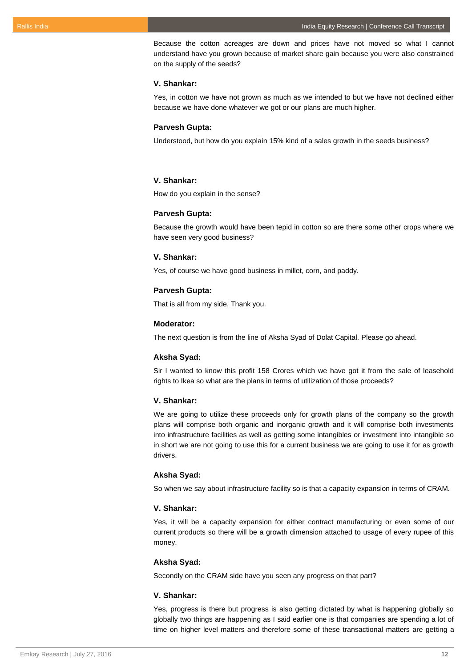Because the cotton acreages are down and prices have not moved so what I cannot understand have you grown because of market share gain because you were also constrained on the supply of the seeds?

#### **V. Shankar:**

Yes, in cotton we have not grown as much as we intended to but we have not declined either because we have done whatever we got or our plans are much higher.

## **Parvesh Gupta:**

Understood, but how do you explain 15% kind of a sales growth in the seeds business?

## **V. Shankar:**

How do you explain in the sense?

## **Parvesh Gupta:**

Because the growth would have been tepid in cotton so are there some other crops where we have seen very good business?

## **V. Shankar:**

Yes, of course we have good business in millet, corn, and paddy.

## **Parvesh Gupta:**

That is all from my side. Thank you.

#### **Moderator:**

The next question is from the line of Aksha Syad of Dolat Capital. Please go ahead.

#### **Aksha Syad:**

Sir I wanted to know this profit 158 Crores which we have got it from the sale of leasehold rights to Ikea so what are the plans in terms of utilization of those proceeds?

## **V. Shankar:**

We are going to utilize these proceeds only for growth plans of the company so the growth plans will comprise both organic and inorganic growth and it will comprise both investments into infrastructure facilities as well as getting some intangibles or investment into intangible so in short we are not going to use this for a current business we are going to use it for as growth drivers.

## **Aksha Syad:**

So when we say about infrastructure facility so is that a capacity expansion in terms of CRAM.

### **V. Shankar:**

Yes, it will be a capacity expansion for either contract manufacturing or even some of our current products so there will be a growth dimension attached to usage of every rupee of this money.

#### **Aksha Syad:**

Secondly on the CRAM side have you seen any progress on that part?

## **V. Shankar:**

Yes, progress is there but progress is also getting dictated by what is happening globally so globally two things are happening as I said earlier one is that companies are spending a lot of time on higher level matters and therefore some of these transactional matters are getting a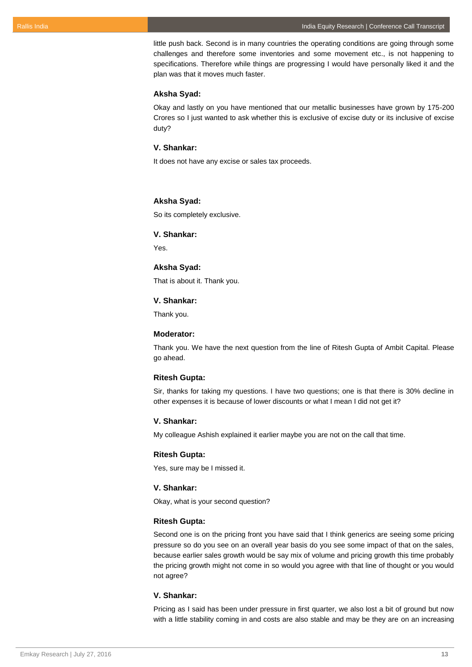little push back. Second is in many countries the operating conditions are going through some challenges and therefore some inventories and some movement etc., is not happening to specifications. Therefore while things are progressing I would have personally liked it and the plan was that it moves much faster.

#### **Aksha Syad:**

Okay and lastly on you have mentioned that our metallic businesses have grown by 175-200 Crores so I just wanted to ask whether this is exclusive of excise duty or its inclusive of excise duty?

## **V. Shankar:**

It does not have any excise or sales tax proceeds.

## **Aksha Syad:**

So its completely exclusive.

#### **V. Shankar:**

Yes.

## **Aksha Syad:**

That is about it. Thank you.

## **V. Shankar:**

Thank you.

### **Moderator:**

Thank you. We have the next question from the line of Ritesh Gupta of Ambit Capital. Please go ahead.

## **Ritesh Gupta:**

Sir, thanks for taking my questions. I have two questions; one is that there is 30% decline in other expenses it is because of lower discounts or what I mean I did not get it?

## **V. Shankar:**

My colleague Ashish explained it earlier maybe you are not on the call that time.

## **Ritesh Gupta:**

Yes, sure may be I missed it.

# **V. Shankar:**

Okay, what is your second question?

#### **Ritesh Gupta:**

Second one is on the pricing front you have said that I think generics are seeing some pricing pressure so do you see on an overall year basis do you see some impact of that on the sales, because earlier sales growth would be say mix of volume and pricing growth this time probably the pricing growth might not come in so would you agree with that line of thought or you would not agree?

## **V. Shankar:**

Pricing as I said has been under pressure in first quarter, we also lost a bit of ground but now with a little stability coming in and costs are also stable and may be they are on an increasing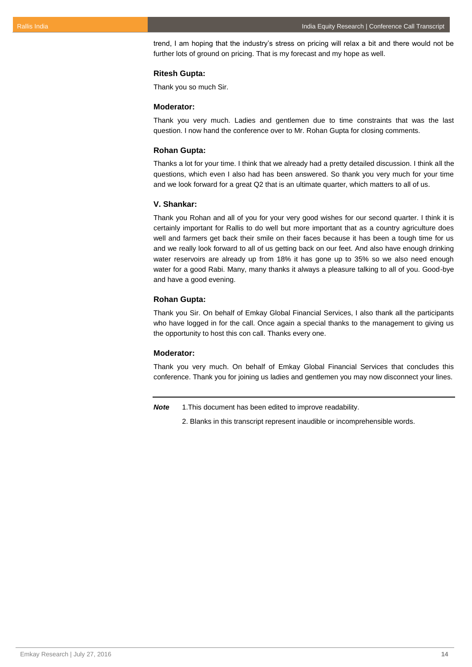trend, I am hoping that the industry's stress on pricing will relax a bit and there would not be further lots of ground on pricing. That is my forecast and my hope as well.

## **Ritesh Gupta:**

Thank you so much Sir.

## **Moderator:**

Thank you very much. Ladies and gentlemen due to time constraints that was the last question. I now hand the conference over to Mr. Rohan Gupta for closing comments.

#### **Rohan Gupta:**

Thanks a lot for your time. I think that we already had a pretty detailed discussion. I think all the questions, which even I also had has been answered. So thank you very much for your time and we look forward for a great Q2 that is an ultimate quarter, which matters to all of us.

## **V. Shankar:**

Thank you Rohan and all of you for your very good wishes for our second quarter. I think it is certainly important for Rallis to do well but more important that as a country agriculture does well and farmers get back their smile on their faces because it has been a tough time for us and we really look forward to all of us getting back on our feet. And also have enough drinking water reservoirs are already up from 18% it has gone up to 35% so we also need enough water for a good Rabi. Many, many thanks it always a pleasure talking to all of you. Good-bye and have a good evening.

#### **Rohan Gupta:**

Thank you Sir. On behalf of Emkay Global Financial Services, I also thank all the participants who have logged in for the call. Once again a special thanks to the management to giving us the opportunity to host this con call. Thanks every one.

#### **Moderator:**

Thank you very much. On behalf of Emkay Global Financial Services that concludes this conference. Thank you for joining us ladies and gentlemen you may now disconnect your lines.

*Note* 1.This document has been edited to improve readability.

2. Blanks in this transcript represent inaudible or incomprehensible words.